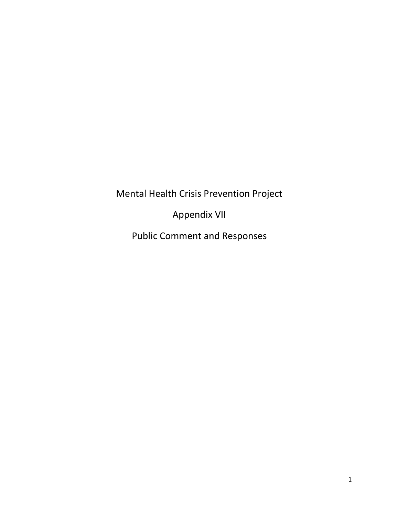Mental Health Crisis Prevention Project

Appendix VII

Public Comment and Responses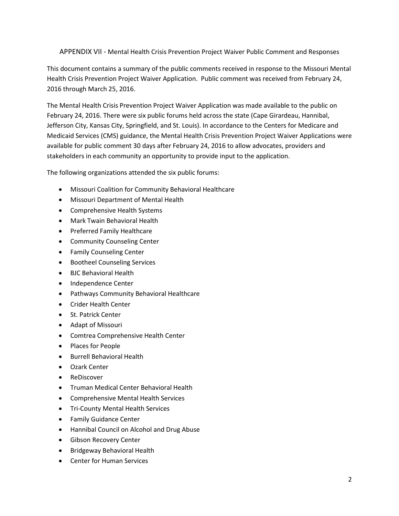## APPENDIX VII - Mental Health Crisis Prevention Project Waiver Public Comment and Responses

This document contains a summary of the public comments received in response to the Missouri Mental Health Crisis Prevention Project Waiver Application. Public comment was received from February 24, 2016 through March 25, 2016.

The Mental Health Crisis Prevention Project Waiver Application was made available to the public on February 24, 2016. There were six public forums held across the state (Cape Girardeau, Hannibal, Jefferson City, Kansas City, Springfield, and St. Louis). In accordance to the Centers for Medicare and Medicaid Services (CMS) guidance, the Mental Health Crisis Prevention Project Waiver Applications were available for public comment 30 days after February 24, 2016 to allow advocates, providers and stakeholders in each community an opportunity to provide input to the application.

The following organizations attended the six public forums:

- Missouri Coalition for Community Behavioral Healthcare
- Missouri Department of Mental Health
- Comprehensive Health Systems
- Mark Twain Behavioral Health
- Preferred Family Healthcare
- **•** Community Counseling Center
- Family Counseling Center
- **•** Bootheel Counseling Services
- BJC Behavioral Health
- Independence Center
- Pathways Community Behavioral Healthcare
- Crider Health Center
- St. Patrick Center
- Adapt of Missouri
- Comtrea Comprehensive Health Center
- Places for People
- **•** Burrell Behavioral Health
- Ozark Center
- ReDiscover
- Truman Medical Center Behavioral Health
- Comprehensive Mental Health Services
- Tri-County Mental Health Services
- **•** Family Guidance Center
- Hannibal Council on Alcohol and Drug Abuse
- **•** Gibson Recovery Center
- **•** Bridgeway Behavioral Health
- Center for Human Services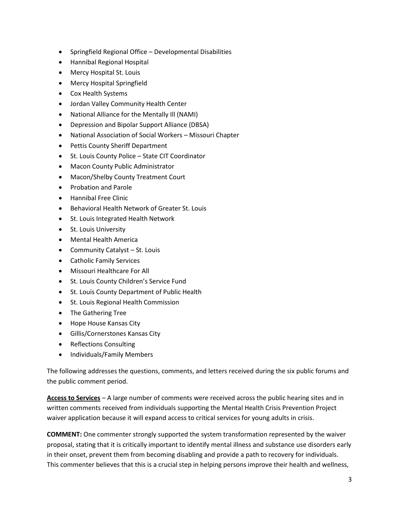- Springfield Regional Office Developmental Disabilities
- Hannibal Regional Hospital
- Mercy Hospital St. Louis
- Mercy Hospital Springfield
- Cox Health Systems
- Jordan Valley Community Health Center
- National Alliance for the Mentally Ill (NAMI)
- Depression and Bipolar Support Alliance (DBSA)
- National Association of Social Workers Missouri Chapter
- Pettis County Sheriff Department
- St. Louis County Police State CIT Coordinator
- Macon County Public Administrator
- Macon/Shelby County Treatment Court
- Probation and Parole
- Hannibal Free Clinic
- Behavioral Health Network of Greater St. Louis
- St. Louis Integrated Health Network
- **•** St. Louis University
- Mental Health America
- Community Catalyst St. Louis
- Catholic Family Services
- Missouri Healthcare For All
- **•** St. Louis County Children's Service Fund
- St. Louis County Department of Public Health
- St. Louis Regional Health Commission
- The Gathering Tree
- Hope House Kansas City
- Gillis/Cornerstones Kansas City
- Reflections Consulting
- Individuals/Family Members

The following addresses the questions, comments, and letters received during the six public forums and the public comment period.

**Access to Services** – A large number of comments were received across the public hearing sites and in written comments received from individuals supporting the Mental Health Crisis Prevention Project waiver application because it will expand access to critical services for young adults in crisis.

**COMMENT:** One commenter strongly supported the system transformation represented by the waiver proposal, stating that it is critically important to identify mental illness and substance use disorders early in their onset, prevent them from becoming disabling and provide a path to recovery for individuals. This commenter believes that this is a crucial step in helping persons improve their health and wellness,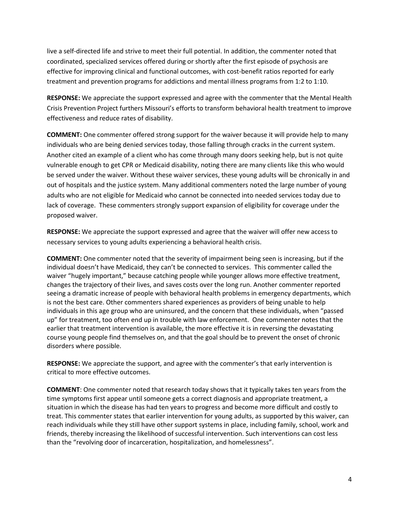live a self-directed life and strive to meet their full potential. In addition, the commenter noted that coordinated, specialized services offered during or shortly after the first episode of psychosis are effective for improving clinical and functional outcomes, with cost-benefit ratios reported for early treatment and prevention programs for addictions and mental illness programs from 1:2 to 1:10.

**RESPONSE:** We appreciate the support expressed and agree with the commenter that the Mental Health Crisis Prevention Project furthers Missouri's efforts to transform behavioral health treatment to improve effectiveness and reduce rates of disability.

**COMMENT:** One commenter offered strong support for the waiver because it will provide help to many individuals who are being denied services today, those falling through cracks in the current system. Another cited an example of a client who has come through many doors seeking help, but is not quite vulnerable enough to get CPR or Medicaid disability, noting there are many clients like this who would be served under the waiver. Without these waiver services, these young adults will be chronically in and out of hospitals and the justice system. Many additional commenters noted the large number of young adults who are not eligible for Medicaid who cannot be connected into needed services today due to lack of coverage. These commenters strongly support expansion of eligibility for coverage under the proposed waiver.

**RESPONSE:** We appreciate the support expressed and agree that the waiver will offer new access to necessary services to young adults experiencing a behavioral health crisis.

**COMMENT:** One commenter noted that the severity of impairment being seen is increasing, but if the individual doesn't have Medicaid, they can't be connected to services. This commenter called the waiver "hugely important," because catching people while younger allows more effective treatment, changes the trajectory of their lives, and saves costs over the long run. Another commenter reported seeing a dramatic increase of people with behavioral health problems in emergency departments, which is not the best care. Other commenters shared experiences as providers of being unable to help individuals in this age group who are uninsured, and the concern that these individuals, when "passed up" for treatment, too often end up in trouble with law enforcement. One commenter notes that the earlier that treatment intervention is available, the more effective it is in reversing the devastating course young people find themselves on, and that the goal should be to prevent the onset of chronic disorders where possible.

**RESPONSE:** We appreciate the support, and agree with the commenter's that early intervention is critical to more effective outcomes.

**COMMENT**: One commenter noted that research today shows that it typically takes ten years from the time symptoms first appear until someone gets a correct diagnosis and appropriate treatment, a situation in which the disease has had ten years to progress and become more difficult and costly to treat. This commenter states that earlier intervention for young adults, as supported by this waiver, can reach individuals while they still have other support systems in place, including family, school, work and friends, thereby increasing the likelihood of successful intervention. Such interventions can cost less than the "revolving door of incarceration, hospitalization, and homelessness".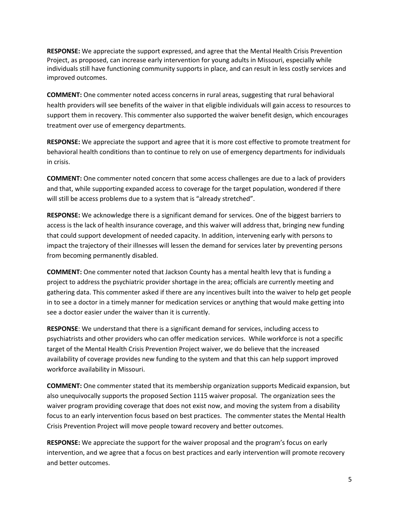**RESPONSE:** We appreciate the support expressed, and agree that the Mental Health Crisis Prevention Project, as proposed, can increase early intervention for young adults in Missouri, especially while individuals still have functioning community supports in place, and can result in less costly services and improved outcomes.

**COMMENT:** One commenter noted access concerns in rural areas, suggesting that rural behavioral health providers will see benefits of the waiver in that eligible individuals will gain access to resources to support them in recovery. This commenter also supported the waiver benefit design, which encourages treatment over use of emergency departments.

**RESPONSE:** We appreciate the support and agree that it is more cost effective to promote treatment for behavioral health conditions than to continue to rely on use of emergency departments for individuals in crisis.

**COMMENT:** One commenter noted concern that some access challenges are due to a lack of providers and that, while supporting expanded access to coverage for the target population, wondered if there will still be access problems due to a system that is "already stretched".

**RESPONSE:** We acknowledge there is a significant demand for services. One of the biggest barriers to access is the lack of health insurance coverage, and this waiver will address that, bringing new funding that could support development of needed capacity. In addition, intervening early with persons to impact the trajectory of their illnesses will lessen the demand for services later by preventing persons from becoming permanently disabled.

**COMMENT:** One commenter noted that Jackson County has a mental health levy that is funding a project to address the psychiatric provider shortage in the area; officials are currently meeting and gathering data. This commenter asked if there are any incentives built into the waiver to help get people in to see a doctor in a timely manner for medication services or anything that would make getting into see a doctor easier under the waiver than it is currently.

**RESPONSE**: We understand that there is a significant demand for services, including access to psychiatrists and other providers who can offer medication services. While workforce is not a specific target of the Mental Health Crisis Prevention Project waiver, we do believe that the increased availability of coverage provides new funding to the system and that this can help support improved workforce availability in Missouri.

**COMMENT:** One commenter stated that its membership organization supports Medicaid expansion, but also unequivocally supports the proposed Section 1115 waiver proposal. The organization sees the waiver program providing coverage that does not exist now, and moving the system from a disability focus to an early intervention focus based on best practices. The commenter states the Mental Health Crisis Prevention Project will move people toward recovery and better outcomes.

**RESPONSE:** We appreciate the support for the waiver proposal and the program's focus on early intervention, and we agree that a focus on best practices and early intervention will promote recovery and better outcomes.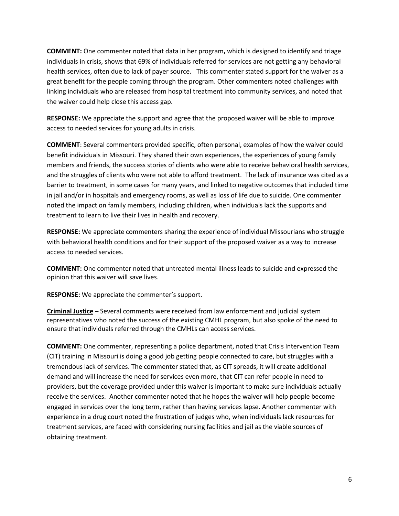**COMMENT:** One commenter noted that data in her program**,** which is designed to identify and triage individuals in crisis, shows that 69% of individuals referred for services are not getting any behavioral health services, often due to lack of payer source. This commenter stated support for the waiver as a great benefit for the people coming through the program. Other commenters noted challenges with linking individuals who are released from hospital treatment into community services, and noted that the waiver could help close this access gap.

**RESPONSE:** We appreciate the support and agree that the proposed waiver will be able to improve access to needed services for young adults in crisis.

**COMMENT**: Several commenters provided specific, often personal, examples of how the waiver could benefit individuals in Missouri. They shared their own experiences, the experiences of young family members and friends, the success stories of clients who were able to receive behavioral health services, and the struggles of clients who were not able to afford treatment. The lack of insurance was cited as a barrier to treatment, in some cases for many years, and linked to negative outcomes that included time in jail and/or in hospitals and emergency rooms, as well as loss of life due to suicide. One commenter noted the impact on family members, including children, when individuals lack the supports and treatment to learn to live their lives in health and recovery.

**RESPONSE:** We appreciate commenters sharing the experience of individual Missourians who struggle with behavioral health conditions and for their support of the proposed waiver as a way to increase access to needed services.

**COMMENT:** One commenter noted that untreated mental illness leads to suicide and expressed the opinion that this waiver will save lives.

**RESPONSE:** We appreciate the commenter's support.

**Criminal Justice** – Several comments were received from law enforcement and judicial system representatives who noted the success of the existing CMHL program, but also spoke of the need to ensure that individuals referred through the CMHLs can access services.

**COMMENT:** One commenter, representing a police department, noted that Crisis Intervention Team (CIT) training in Missouri is doing a good job getting people connected to care, but struggles with a tremendous lack of services. The commenter stated that, as CIT spreads, it will create additional demand and will increase the need for services even more, that CIT can refer people in need to providers, but the coverage provided under this waiver is important to make sure individuals actually receive the services. Another commenter noted that he hopes the waiver will help people become engaged in services over the long term, rather than having services lapse. Another commenter with experience in a drug court noted the frustration of judges who, when individuals lack resources for treatment services, are faced with considering nursing facilities and jail as the viable sources of obtaining treatment.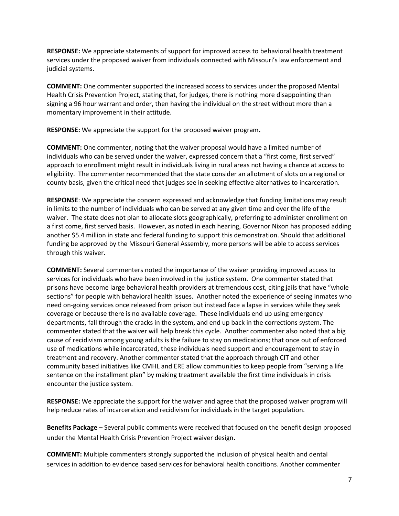**RESPONSE:** We appreciate statements of support for improved access to behavioral health treatment services under the proposed waiver from individuals connected with Missouri's law enforcement and judicial systems.

**COMMENT:** One commenter supported the increased access to services under the proposed Mental Health Crisis Prevention Project, stating that, for judges, there is nothing more disappointing than signing a 96 hour warrant and order, then having the individual on the street without more than a momentary improvement in their attitude.

**RESPONSE:** We appreciate the support for the proposed waiver program**.**

**COMMENT:** One commenter, noting that the waiver proposal would have a limited number of individuals who can be served under the waiver, expressed concern that a "first come, first served" approach to enrollment might result in individuals living in rural areas not having a chance at access to eligibility. The commenter recommended that the state consider an allotment of slots on a regional or county basis, given the critical need that judges see in seeking effective alternatives to incarceration.

**RESPONSE**: We appreciate the concern expressed and acknowledge that funding limitations may result in limits to the number of individuals who can be served at any given time and over the life of the waiver. The state does not plan to allocate slots geographically, preferring to administer enrollment on a first come, first served basis. However, as noted in each hearing, Governor Nixon has proposed adding another \$5.4 million in state and federal funding to support this demonstration. Should that additional funding be approved by the Missouri General Assembly, more persons will be able to access services through this waiver.

**COMMENT:** Several commenters noted the importance of the waiver providing improved access to services for individuals who have been involved in the justice system. One commenter stated that prisons have become large behavioral health providers at tremendous cost, citing jails that have "whole sections" for people with behavioral health issues. Another noted the experience of seeing inmates who need on-going services once released from prison but instead face a lapse in services while they seek coverage or because there is no available coverage. These individuals end up using emergency departments, fall through the cracks in the system, and end up back in the corrections system. The commenter stated that the waiver will help break this cycle. Another commenter also noted that a big cause of recidivism among young adults is the failure to stay on medications; that once out of enforced use of medications while incarcerated, these individuals need support and encouragement to stay in treatment and recovery. Another commenter stated that the approach through CIT and other community based initiatives like CMHL and ERE allow communities to keep people from "serving a life sentence on the installment plan" by making treatment available the first time individuals in crisis encounter the justice system.

**RESPONSE:** We appreciate the support for the waiver and agree that the proposed waiver program will help reduce rates of incarceration and recidivism for individuals in the target population.

**Benefits Package** – Several public comments were received that focused on the benefit design proposed under the Mental Health Crisis Prevention Project waiver design**.** 

**COMMENT:** Multiple commenters strongly supported the inclusion of physical health and dental services in addition to evidence based services for behavioral health conditions. Another commenter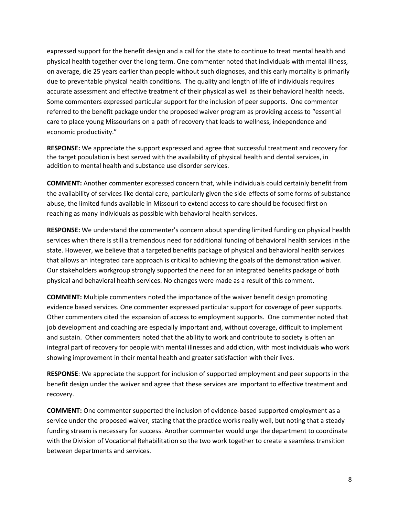expressed support for the benefit design and a call for the state to continue to treat mental health and physical health together over the long term. One commenter noted that individuals with mental illness, on average, die 25 years earlier than people without such diagnoses, and this early mortality is primarily due to preventable physical health conditions. The quality and length of life of individuals requires accurate assessment and effective treatment of their physical as well as their behavioral health needs. Some commenters expressed particular support for the inclusion of peer supports. One commenter referred to the benefit package under the proposed waiver program as providing access to "essential care to place young Missourians on a path of recovery that leads to wellness, independence and economic productivity."

**RESPONSE:** We appreciate the support expressed and agree that successful treatment and recovery for the target population is best served with the availability of physical health and dental services, in addition to mental health and substance use disorder services.

**COMMENT:** Another commenter expressed concern that, while individuals could certainly benefit from the availability of services like dental care, particularly given the side-effects of some forms of substance abuse, the limited funds available in Missouri to extend access to care should be focused first on reaching as many individuals as possible with behavioral health services.

**RESPONSE:** We understand the commenter's concern about spending limited funding on physical health services when there is still a tremendous need for additional funding of behavioral health services in the state. However, we believe that a targeted benefits package of physical and behavioral health services that allows an integrated care approach is critical to achieving the goals of the demonstration waiver. Our stakeholders workgroup strongly supported the need for an integrated benefits package of both physical and behavioral health services. No changes were made as a result of this comment.

**COMMENT:** Multiple commenters noted the importance of the waiver benefit design promoting evidence based services. One commenter expressed particular support for coverage of peer supports. Other commenters cited the expansion of access to employment supports. One commenter noted that job development and coaching are especially important and, without coverage, difficult to implement and sustain. Other commenters noted that the ability to work and contribute to society is often an integral part of recovery for people with mental illnesses and addiction, with most individuals who work showing improvement in their mental health and greater satisfaction with their lives.

**RESPONSE**: We appreciate the support for inclusion of supported employment and peer supports in the benefit design under the waiver and agree that these services are important to effective treatment and recovery.

**COMMENT:** One commenter supported the inclusion of evidence-based supported employment as a service under the proposed waiver, stating that the practice works really well, but noting that a steady funding stream is necessary for success. Another commenter would urge the department to coordinate with the Division of Vocational Rehabilitation so the two work together to create a seamless transition between departments and services.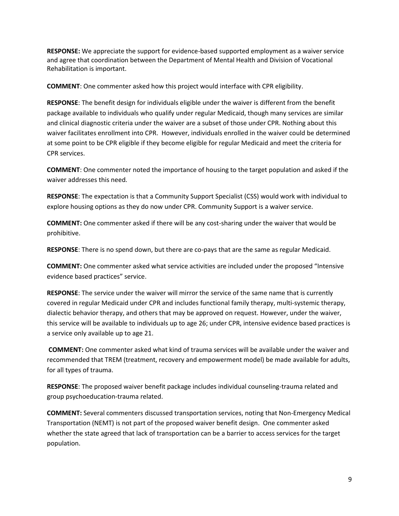**RESPONSE:** We appreciate the support for evidence-based supported employment as a waiver service and agree that coordination between the Department of Mental Health and Division of Vocational Rehabilitation is important.

**COMMENT**: One commenter asked how this project would interface with CPR eligibility.

**RESPONSE**: The benefit design for individuals eligible under the waiver is different from the benefit package available to individuals who qualify under regular Medicaid, though many services are similar and clinical diagnostic criteria under the waiver are a subset of those under CPR. Nothing about this waiver facilitates enrollment into CPR. However, individuals enrolled in the waiver could be determined at some point to be CPR eligible if they become eligible for regular Medicaid and meet the criteria for CPR services.

**COMMENT**: One commenter noted the importance of housing to the target population and asked if the waiver addresses this need.

**RESPONSE**: The expectation is that a Community Support Specialist (CSS) would work with individual to explore housing options as they do now under CPR. Community Support is a waiver service.

**COMMENT:** One commenter asked if there will be any cost-sharing under the waiver that would be prohibitive.

**RESPONSE**: There is no spend down, but there are co-pays that are the same as regular Medicaid.

**COMMENT:** One commenter asked what service activities are included under the proposed "Intensive evidence based practices" service.

**RESPONSE**: The service under the waiver will mirror the service of the same name that is currently covered in regular Medicaid under CPR and includes functional family therapy, multi-systemic therapy, dialectic behavior therapy, and others that may be approved on request. However, under the waiver, this service will be available to individuals up to age 26; under CPR, intensive evidence based practices is a service only available up to age 21.

**COMMENT:** One commenter asked what kind of trauma services will be available under the waiver and recommended that TREM (treatment, recovery and empowerment model) be made available for adults, for all types of trauma.

**RESPONSE**: The proposed waiver benefit package includes individual counseling-trauma related and group psychoeducation-trauma related.

**COMMENT:** Several commenters discussed transportation services, noting that Non-Emergency Medical Transportation (NEMT) is not part of the proposed waiver benefit design. One commenter asked whether the state agreed that lack of transportation can be a barrier to access services for the target population.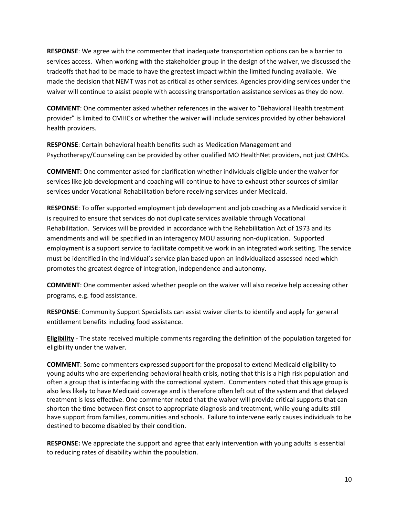**RESPONSE**: We agree with the commenter that inadequate transportation options can be a barrier to services access. When working with the stakeholder group in the design of the waiver, we discussed the tradeoffs that had to be made to have the greatest impact within the limited funding available. We made the decision that NEMT was not as critical as other services. Agencies providing services under the waiver will continue to assist people with accessing transportation assistance services as they do now.

**COMMENT**: One commenter asked whether references in the waiver to "Behavioral Health treatment provider" is limited to CMHCs or whether the waiver will include services provided by other behavioral health providers.

**RESPONSE**: Certain behavioral health benefits such as Medication Management and Psychotherapy/Counseling can be provided by other qualified MO HealthNet providers, not just CMHCs.

**COMMENT:** One commenter asked for clarification whether individuals eligible under the waiver for services like job development and coaching will continue to have to exhaust other sources of similar services under Vocational Rehabilitation before receiving services under Medicaid.

**RESPONSE**: To offer supported employment job development and job coaching as a Medicaid service it is required to ensure that services do not duplicate services available through Vocational Rehabilitation. Services will be provided in accordance with the Rehabilitation Act of 1973 and its amendments and will be specified in an interagency MOU assuring non-duplication. Supported employment is a support service to facilitate competitive work in an integrated work setting. The service must be identified in the individual's service plan based upon an individualized assessed need which promotes the greatest degree of integration, independence and autonomy.

**COMMENT**: One commenter asked whether people on the waiver will also receive help accessing other programs, e.g. food assistance.

**RESPONSE**: Community Support Specialists can assist waiver clients to identify and apply for general entitlement benefits including food assistance.

**Eligibility** - The state received multiple comments regarding the definition of the population targeted for eligibility under the waiver.

**COMMENT**: Some commenters expressed support for the proposal to extend Medicaid eligibility to young adults who are experiencing behavioral health crisis, noting that this is a high risk population and often a group that is interfacing with the correctional system. Commenters noted that this age group is also less likely to have Medicaid coverage and is therefore often left out of the system and that delayed treatment is less effective. One commenter noted that the waiver will provide critical supports that can shorten the time between first onset to appropriate diagnosis and treatment, while young adults still have support from families, communities and schools. Failure to intervene early causes individuals to be destined to become disabled by their condition.

**RESPONSE:** We appreciate the support and agree that early intervention with young adults is essential to reducing rates of disability within the population.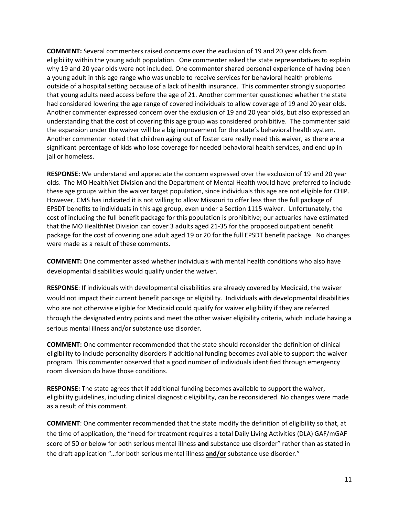**COMMENT:** Several commenters raised concerns over the exclusion of 19 and 20 year olds from eligibility within the young adult population. One commenter asked the state representatives to explain why 19 and 20 year olds were not included. One commenter shared personal experience of having been a young adult in this age range who was unable to receive services for behavioral health problems outside of a hospital setting because of a lack of health insurance. This commenter strongly supported that young adults need access before the age of 21. Another commenter questioned whether the state had considered lowering the age range of covered individuals to allow coverage of 19 and 20 year olds. Another commenter expressed concern over the exclusion of 19 and 20 year olds, but also expressed an understanding that the cost of covering this age group was considered prohibitive. The commenter said the expansion under the waiver will be a big improvement for the state's behavioral health system. Another commenter noted that children aging out of foster care really need this waiver, as there are a significant percentage of kids who lose coverage for needed behavioral health services, and end up in jail or homeless.

**RESPONSE:** We understand and appreciate the concern expressed over the exclusion of 19 and 20 year olds. The MO HealthNet Division and the Department of Mental Health would have preferred to include these age groups within the waiver target population, since individuals this age are not eligible for CHIP. However, CMS has indicated it is not willing to allow Missouri to offer less than the full package of EPSDT benefits to individuals in this age group, even under a Section 1115 waiver. Unfortunately, the cost of including the full benefit package for this population is prohibitive; our actuaries have estimated that the MO HealthNet Division can cover 3 adults aged 21-35 for the proposed outpatient benefit package for the cost of covering one adult aged 19 or 20 for the full EPSDT benefit package. No changes were made as a result of these comments.

**COMMENT:** One commenter asked whether individuals with mental health conditions who also have developmental disabilities would qualify under the waiver.

**RESPONSE**: If individuals with developmental disabilities are already covered by Medicaid, the waiver would not impact their current benefit package or eligibility. Individuals with developmental disabilities who are not otherwise eligible for Medicaid could qualify for waiver eligibility if they are referred through the designated entry points and meet the other waiver eligibility criteria, which include having a serious mental illness and/or substance use disorder.

**COMMENT:** One commenter recommended that the state should reconsider the definition of clinical eligibility to include personality disorders if additional funding becomes available to support the waiver program. This commenter observed that a good number of individuals identified through emergency room diversion do have those conditions.

**RESPONSE:** The state agrees that if additional funding becomes available to support the waiver, eligibility guidelines, including clinical diagnostic eligibility, can be reconsidered. No changes were made as a result of this comment.

**COMMENT**: One commenter recommended that the state modify the definition of eligibility so that, at the time of application, the "need for treatment requires a total Daily Living Activities (DLA) GAF/mGAF score of 50 or below for both serious mental illness **and** substance use disorder" rather than as stated in the draft application "…for both serious mental illness **and/or** substance use disorder."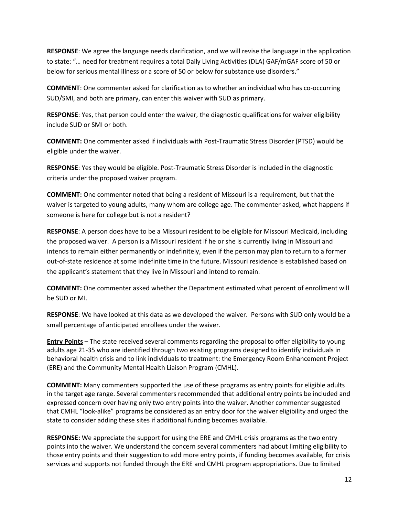**RESPONSE**: We agree the language needs clarification, and we will revise the language in the application to state: "… need for treatment requires a total Daily Living Activities (DLA) GAF/mGAF score of 50 or below for serious mental illness or a score of 50 or below for substance use disorders."

**COMMENT**: One commenter asked for clarification as to whether an individual who has co-occurring SUD/SMI, and both are primary, can enter this waiver with SUD as primary.

**RESPONSE**: Yes, that person could enter the waiver, the diagnostic qualifications for waiver eligibility include SUD or SMI or both.

**COMMENT:** One commenter asked if individuals with Post-Traumatic Stress Disorder (PTSD) would be eligible under the waiver.

**RESPONSE**: Yes they would be eligible. Post-Traumatic Stress Disorder is included in the diagnostic criteria under the proposed waiver program.

**COMMENT:** One commenter noted that being a resident of Missouri is a requirement, but that the waiver is targeted to young adults, many whom are college age. The commenter asked, what happens if someone is here for college but is not a resident?

**RESPONSE**: A person does have to be a Missouri resident to be eligible for Missouri Medicaid, including the proposed waiver. A person is a Missouri resident if he or she is currently living in Missouri and intends to remain either permanently or indefinitely, even if the person may plan to return to a former out-of-state residence at some indefinite time in the future. Missouri residence is established based on the applicant's statement that they live in Missouri and intend to remain.

**COMMENT:** One commenter asked whether the Department estimated what percent of enrollment will be SUD or MI.

**RESPONSE**: We have looked at this data as we developed the waiver. Persons with SUD only would be a small percentage of anticipated enrollees under the waiver.

**Entry Points** – The state received several comments regarding the proposal to offer eligibility to young adults age 21-35 who are identified through two existing programs designed to identify individuals in behavioral health crisis and to link individuals to treatment: the Emergency Room Enhancement Project (ERE) and the Community Mental Health Liaison Program (CMHL).

**COMMENT:** Many commenters supported the use of these programs as entry points for eligible adults in the target age range. Several commenters recommended that additional entry points be included and expressed concern over having only two entry points into the waiver. Another commenter suggested that CMHL "look-alike" programs be considered as an entry door for the waiver eligibility and urged the state to consider adding these sites if additional funding becomes available.

**RESPONSE:** We appreciate the support for using the ERE and CMHL crisis programs as the two entry points into the waiver. We understand the concern several commenters had about limiting eligibility to those entry points and their suggestion to add more entry points, if funding becomes available, for crisis services and supports not funded through the ERE and CMHL program appropriations. Due to limited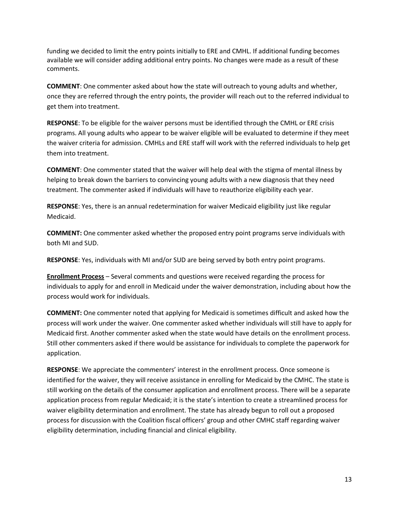funding we decided to limit the entry points initially to ERE and CMHL. If additional funding becomes available we will consider adding additional entry points. No changes were made as a result of these comments.

**COMMENT**: One commenter asked about how the state will outreach to young adults and whether, once they are referred through the entry points, the provider will reach out to the referred individual to get them into treatment.

**RESPONSE**: To be eligible for the waiver persons must be identified through the CMHL or ERE crisis programs. All young adults who appear to be waiver eligible will be evaluated to determine if they meet the waiver criteria for admission. CMHLs and ERE staff will work with the referred individuals to help get them into treatment.

**COMMENT**: One commenter stated that the waiver will help deal with the stigma of mental illness by helping to break down the barriers to convincing young adults with a new diagnosis that they need treatment. The commenter asked if individuals will have to reauthorize eligibility each year.

**RESPONSE**: Yes, there is an annual redetermination for waiver Medicaid eligibility just like regular Medicaid.

**COMMENT:** One commenter asked whether the proposed entry point programs serve individuals with both MI and SUD.

**RESPONSE**: Yes, individuals with MI and/or SUD are being served by both entry point programs.

**Enrollment Process** – Several comments and questions were received regarding the process for individuals to apply for and enroll in Medicaid under the waiver demonstration, including about how the process would work for individuals.

**COMMENT:** One commenter noted that applying for Medicaid is sometimes difficult and asked how the process will work under the waiver. One commenter asked whether individuals will still have to apply for Medicaid first. Another commenter asked when the state would have details on the enrollment process. Still other commenters asked if there would be assistance for individuals to complete the paperwork for application.

**RESPONSE**: We appreciate the commenters' interest in the enrollment process. Once someone is identified for the waiver, they will receive assistance in enrolling for Medicaid by the CMHC. The state is still working on the details of the consumer application and enrollment process. There will be a separate application process from regular Medicaid; it is the state's intention to create a streamlined process for waiver eligibility determination and enrollment. The state has already begun to roll out a proposed process for discussion with the Coalition fiscal officers' group and other CMHC staff regarding waiver eligibility determination, including financial and clinical eligibility.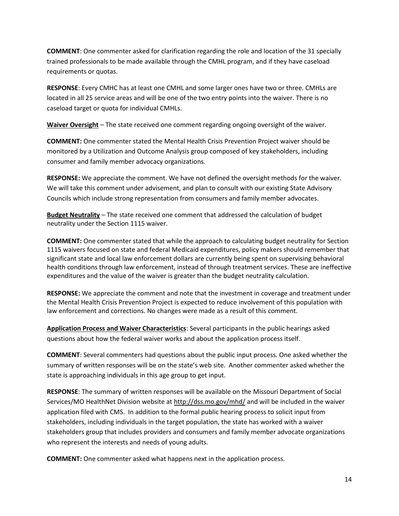**COMMENT**: One commenter asked for clarification regarding the role and location of the 31 specially trained professionals to be made available through the CMHL program, and if they have caseload requirements or quotas.

**RESPONSE**: Every CMHC has at least one CMHL and some larger ones have two or three. CMHLs are located in all 25 service areas and will be one of the two entry points into the waiver. There is no caseload target or quota for individual CMHLs.

**Waiver Oversight** – The state received one comment regarding ongoing oversight of the waiver.

**COMMENT:** One commenter stated the Mental Health Crisis Prevention Project waiver should be monitored by a Utilization and Outcome Analysis group composed of key stakeholders, including consumer and family member advocacy organizations.

**RESPONSE:** We appreciate the comment. We have not defined the oversight methods for the waiver. We will take this comment under advisement, and plan to consult with our existing State Advisory Councils which include strong representation from consumers and family member advocates.

**Budget Neutrality** – The state received one comment that addressed the calculation of budget neutrality under the Section 1115 waiver.

**COMMENT:** One commenter stated that while the approach to calculating budget neutrality for Section 1115 waivers focused on state and federal Medicaid expenditures, policy makers should remember that significant state and local law enforcement dollars are currently being spent on supervising behavioral health conditions through law enforcement, instead of through treatment services. These are ineffective expenditures and the value of the waiver is greater than the budget neutrality calculation.

**RESPONSE:** We appreciate the comment and note that the investment in coverage and treatment under the Mental Health Crisis Prevention Project is expected to reduce involvement of this population with law enforcement and corrections. No changes were made as a result of this comment.

**Application Process and Waiver Characteristics**: Several participants in the public hearings asked questions about how the federal waiver works and about the application process itself.

**COMMENT**: Several commenters had questions about the public input process. One asked whether the summary of written responses will be on the state's web site. Another commenter asked whether the state is approaching individuals in this age group to get input.

**RESPONSE**: The summary of written responses will be available on the Missouri Department of Social Services/MO HealthNet Division website a[t http://dss.mo.gov/mhd/](http://dss.mo.gov/mhd/) and will be included in the waiver application filed with CMS. In addition to the formal public hearing process to solicit input from stakeholders, including individuals in the target population, the state has worked with a waiver stakeholders group that includes providers and consumers and family member advocate organizations who represent the interests and needs of young adults.

**COMMENT:** One commenter asked what happens next in the application process.